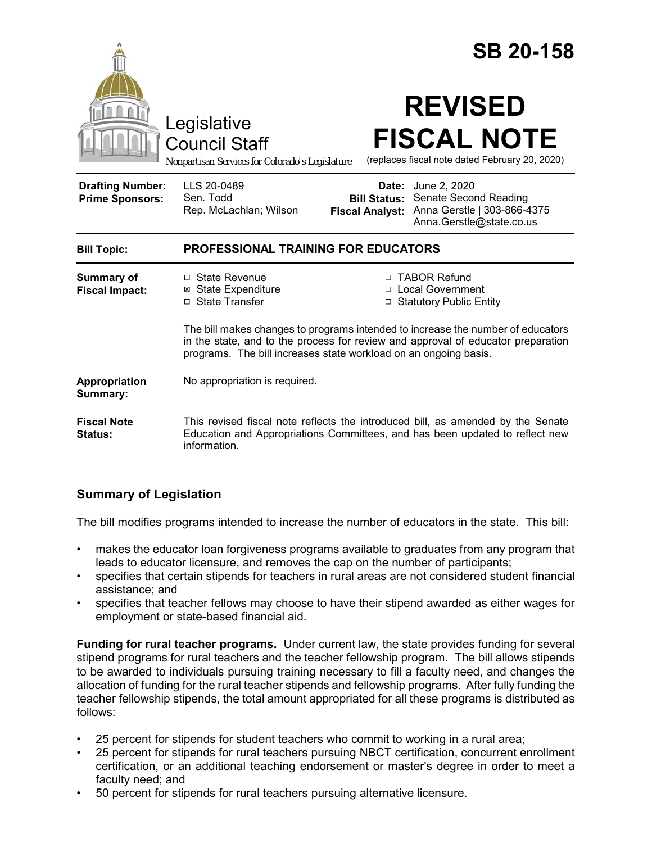|                                                   |                                                                                                                                                                                                                                         |                                 | <b>SB 20-158</b>                                                                                                                                                |  |
|---------------------------------------------------|-----------------------------------------------------------------------------------------------------------------------------------------------------------------------------------------------------------------------------------------|---------------------------------|-----------------------------------------------------------------------------------------------------------------------------------------------------------------|--|
|                                                   | Legislative<br><b>Council Staff</b><br>Nonpartisan Services for Colorado's Legislature                                                                                                                                                  |                                 | <b>REVISED</b><br><b>FISCAL NOTE</b><br>(replaces fiscal note dated February 20, 2020)                                                                          |  |
| <b>Drafting Number:</b><br><b>Prime Sponsors:</b> | LLS 20-0489<br>Sen. Todd<br>Rep. McLachlan; Wilson                                                                                                                                                                                      | Date:<br><b>Fiscal Analyst:</b> | June 2, 2020<br><b>Bill Status: Senate Second Reading</b><br>Anna Gerstle   303-866-4375<br>Anna.Gerstle@state.co.us                                            |  |
| <b>Bill Topic:</b>                                | <b>PROFESSIONAL TRAINING FOR EDUCATORS</b>                                                                                                                                                                                              |                                 |                                                                                                                                                                 |  |
| <b>Summary of</b><br><b>Fiscal Impact:</b>        | □ State Revenue<br><b>⊠</b> State Expenditure<br>□ State Transfer                                                                                                                                                                       |                                 | □ TABOR Refund<br>□ Local Government<br>□ Statutory Public Entity                                                                                               |  |
|                                                   | The bill makes changes to programs intended to increase the number of educators<br>in the state, and to the process for review and approval of educator preparation<br>programs. The bill increases state workload on an ongoing basis. |                                 |                                                                                                                                                                 |  |
| Appropriation<br>Summary:                         | No appropriation is required.                                                                                                                                                                                                           |                                 |                                                                                                                                                                 |  |
| <b>Fiscal Note</b><br>Status:                     | information.                                                                                                                                                                                                                            |                                 | This revised fiscal note reflects the introduced bill, as amended by the Senate<br>Education and Appropriations Committees, and has been updated to reflect new |  |

# **Summary of Legislation**

The bill modifies programs intended to increase the number of educators in the state. This bill:

- makes the educator loan forgiveness programs available to graduates from any program that leads to educator licensure, and removes the cap on the number of participants;
- specifies that certain stipends for teachers in rural areas are not considered student financial assistance; and
- specifies that teacher fellows may choose to have their stipend awarded as either wages for employment or state-based financial aid.

**Funding for rural teacher programs.** Under current law, the state provides funding for several stipend programs for rural teachers and the teacher fellowship program. The bill allows stipends to be awarded to individuals pursuing training necessary to fill a faculty need, and changes the allocation of funding for the rural teacher stipends and fellowship programs. After fully funding the teacher fellowship stipends, the total amount appropriated for all these programs is distributed as follows:

- 25 percent for stipends for student teachers who commit to working in a rural area;
- 25 percent for stipends for rural teachers pursuing NBCT certification, concurrent enrollment certification, or an additional teaching endorsement or master's degree in order to meet a faculty need; and
- 50 percent for stipends for rural teachers pursuing alternative licensure.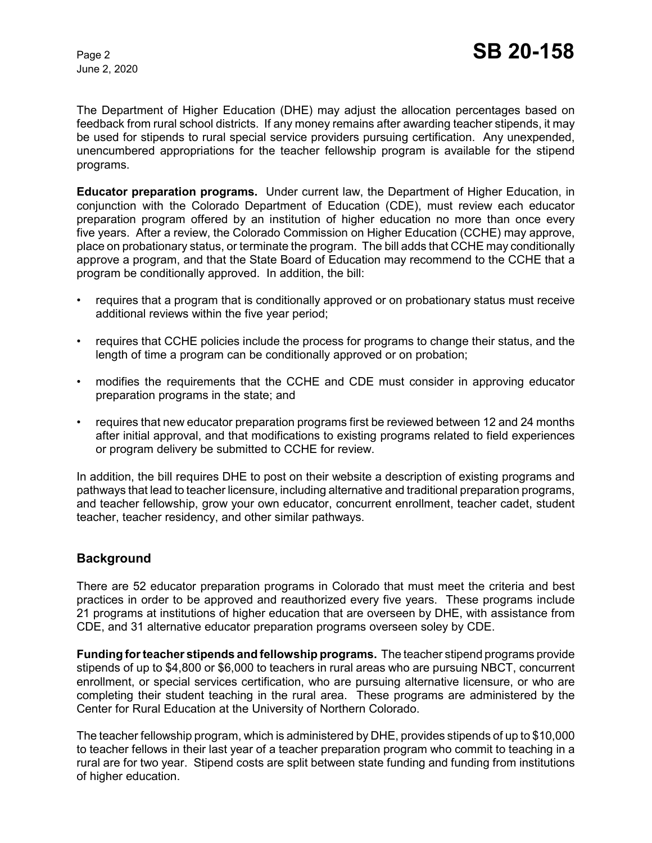June 2, 2020

The Department of Higher Education (DHE) may adjust the allocation percentages based on feedback from rural school districts. If any money remains after awarding teacher stipends, it may be used for stipends to rural special service providers pursuing certification. Any unexpended, unencumbered appropriations for the teacher fellowship program is available for the stipend programs.

**Educator preparation programs.** Under current law, the Department of Higher Education, in conjunction with the Colorado Department of Education (CDE), must review each educator preparation program offered by an institution of higher education no more than once every five years. After a review, the Colorado Commission on Higher Education (CCHE) may approve, place on probationary status, or terminate the program. The bill adds that CCHE may conditionally approve a program, and that the State Board of Education may recommend to the CCHE that a program be conditionally approved. In addition, the bill:

- requires that a program that is conditionally approved or on probationary status must receive additional reviews within the five year period;
- requires that CCHE policies include the process for programs to change their status, and the length of time a program can be conditionally approved or on probation;
- modifies the requirements that the CCHE and CDE must consider in approving educator preparation programs in the state; and
- requires that new educator preparation programs first be reviewed between 12 and 24 months after initial approval, and that modifications to existing programs related to field experiences or program delivery be submitted to CCHE for review.

In addition, the bill requires DHE to post on their website a description of existing programs and pathways that lead to teacher licensure, including alternative and traditional preparation programs, and teacher fellowship, grow your own educator, concurrent enrollment, teacher cadet, student teacher, teacher residency, and other similar pathways.

## **Background**

There are 52 educator preparation programs in Colorado that must meet the criteria and best practices in order to be approved and reauthorized every five years. These programs include 21 programs at institutions of higher education that are overseen by DHE, with assistance from CDE, and 31 alternative educator preparation programs overseen soley by CDE.

**Funding for teacher stipends and fellowship programs.** The teacher stipend programs provide stipends of up to \$4,800 or \$6,000 to teachers in rural areas who are pursuing NBCT, concurrent enrollment, or special services certification, who are pursuing alternative licensure, or who are completing their student teaching in the rural area. These programs are administered by the Center for Rural Education at the University of Northern Colorado.

The teacher fellowship program, which is administered by DHE, provides stipends of up to \$10,000 to teacher fellows in their last year of a teacher preparation program who commit to teaching in a rural are for two year. Stipend costs are split between state funding and funding from institutions of higher education.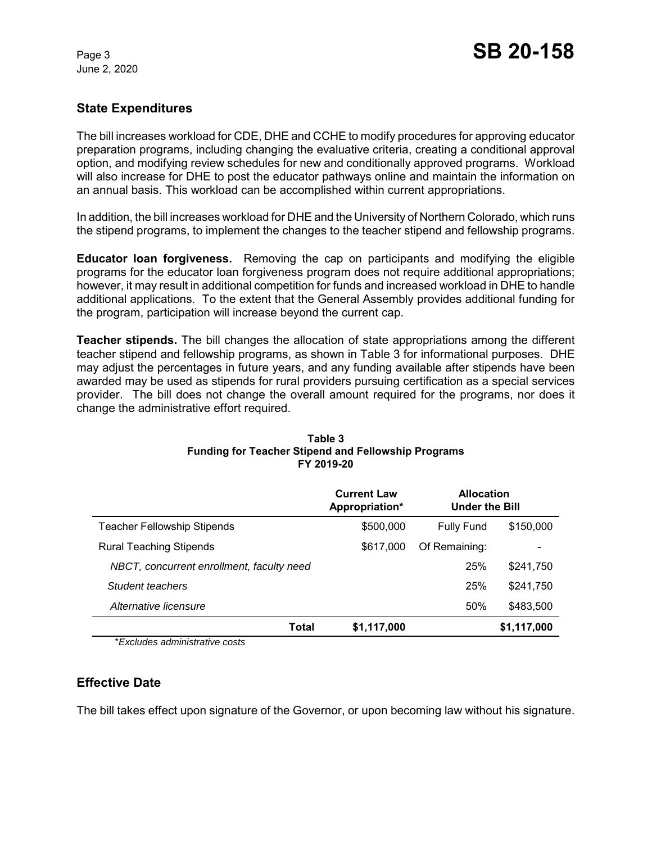June 2, 2020

## **State Expenditures**

The bill increases workload for CDE, DHE and CCHE to modify procedures for approving educator preparation programs, including changing the evaluative criteria, creating a conditional approval option, and modifying review schedules for new and conditionally approved programs. Workload will also increase for DHE to post the educator pathways online and maintain the information on an annual basis. This workload can be accomplished within current appropriations.

In addition, the bill increases workload for DHE and the University of Northern Colorado, which runs the stipend programs, to implement the changes to the teacher stipend and fellowship programs.

**Educator loan forgiveness.**Removing the cap on participants and modifying the eligible programs for the educator loan forgiveness program does not require additional appropriations; however, it may result in additional competition for funds and increased workload in DHE to handle additional applications. To the extent that the General Assembly provides additional funding for the program, participation will increase beyond the current cap.

**Teacher stipends.** The bill changes the allocation of state appropriations among the different teacher stipend and fellowship programs, as shown in Table 3 for informational purposes. DHE may adjust the percentages in future years, and any funding available after stipends have been awarded may be used as stipends for rural providers pursuing certification as a special services provider. The bill does not change the overall amount required for the programs, nor does it change the administrative effort required.

|                                                                      | <b>Current Law</b><br>Appropriation* | <b>Allocation</b><br><b>Under the Bill</b> |             |
|----------------------------------------------------------------------|--------------------------------------|--------------------------------------------|-------------|
| <b>Teacher Fellowship Stipends</b><br>\$500,000<br><b>Fully Fund</b> |                                      | \$150,000                                  |             |
| <b>Rural Teaching Stipends</b>                                       | \$617,000                            | Of Remaining:                              |             |
| NBCT, concurrent enrollment, faculty need                            |                                      | 25%                                        | \$241.750   |
| Student teachers                                                     |                                      | 25%                                        | \$241,750   |
| Alternative licensure                                                |                                      | 50%                                        | \$483,500   |
| Total                                                                | \$1,117,000                          |                                            | \$1,117,000 |

#### **Table 3 Funding for Teacher Stipend and Fellowship Programs FY 2019-20**

\**Excludes administrative costs*

## **Effective Date**

The bill takes effect upon signature of the Governor, or upon becoming law without his signature.